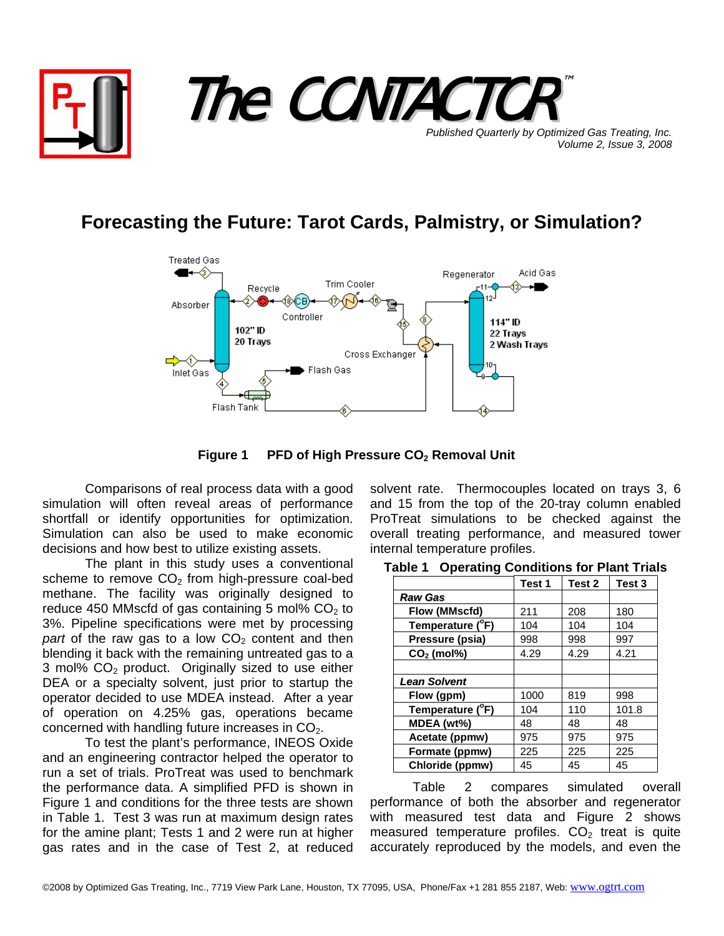

## **Forecasting the Future: Tarot Cards, Palmistry, or Simulation?**



Figure 1 PFD of High Pressure CO<sub>2</sub> Removal Unit

Comparisons of real process data with a good simulation will often reveal areas of performance shortfall or identify opportunities for optimization. Simulation can also be used to make economic decisions and how best to utilize existing assets.

The plant in this study uses a conventional scheme to remove  $CO<sub>2</sub>$  from high-pressure coal-bed methane. The facility was originally designed to reduce 450 MMscfd of gas containing 5 mol%  $CO<sub>2</sub>$  to 3%. Pipeline specifications were met by processing *part* of the raw gas to a low  $CO<sub>2</sub>$  content and then blending it back with the remaining untreated gas to a 3 mol%  $CO<sub>2</sub>$  product. Originally sized to use either DEA or a specialty solvent, just prior to startup the operator decided to use MDEA instead. After a year of operation on 4.25% gas, operations became concerned with handling future increases in  $CO<sub>2</sub>$ .

To test the plant's performance, INEOS Oxide and an engineering contractor helped the operator to run a set of trials. ProTreat was used to benchmark the performance data. A simplified PFD is shown in Figure 1 and conditions for the three tests are shown in Table 1. Test 3 was run at maximum design rates for the amine plant; Tests 1 and 2 were run at higher gas rates and in the case of Test 2, at reduced

solvent rate. Thermocouples located on trays 3, 6 and 15 from the top of the 20-tray column enabled ProTreat simulations to be checked against the overall treating performance, and measured tower internal temperature profiles.

|                     | Test 1 | Test 2 | Test <sub>3</sub> |
|---------------------|--------|--------|-------------------|
| <b>Raw Gas</b>      |        |        |                   |
| Flow (MMscfd)       | 211    | 208    | 180               |
| Temperature (°F)    | 104    | 104    | 104               |
| Pressure (psia)     | 998    | 998    | 997               |
| $CO2$ (mol%)        | 4.29   | 4.29   | 4.21              |
|                     |        |        |                   |
| <b>Lean Solvent</b> |        |        |                   |
| Flow (gpm)          | 1000   | 819    | 998               |
| Temperature (°F)    | 104    | 110    | 101.8             |
| MDEA (wt%)          | 48     | 48     | 48                |
| Acetate (ppmw)      | 975    | 975    | 975               |
| Formate (ppmw)      | 225    | 225    | 225               |
| Chloride (ppmw)     | 45     | 45     | 45                |

**Table 1 Operating Conditions for Plant Trials** 

Table 2 compares simulated overall performance of both the absorber and regenerator with measured test data and Figure 2 shows measured temperature profiles.  $CO<sub>2</sub>$  treat is quite accurately reproduced by the models, and even the